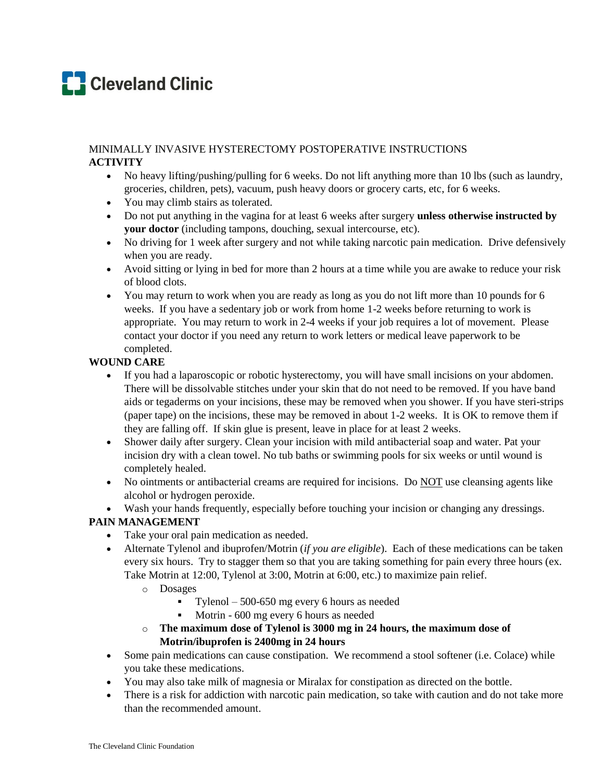# **C** Cleveland Clinic

# MINIMALLY INVASIVE HYSTERECTOMY POSTOPERATIVE INSTRUCTIONS **ACTIVITY**

- No heavy lifting/pushing/pulling for 6 weeks. Do not lift anything more than 10 lbs (such as laundry, groceries, children, pets), vacuum, push heavy doors or grocery carts, etc, for 6 weeks.
- You may climb stairs as tolerated.
- Do not put anything in the vagina for at least 6 weeks after surgery **unless otherwise instructed by your doctor** (including tampons, douching, sexual intercourse, etc).
- No driving for 1 week after surgery and not while taking narcotic pain medication. Drive defensively when you are ready.
- Avoid sitting or lying in bed for more than 2 hours at a time while you are awake to reduce your risk of blood clots.
- You may return to work when you are ready as long as you do not lift more than 10 pounds for 6 weeks. If you have a sedentary job or work from home 1-2 weeks before returning to work is appropriate. You may return to work in 2-4 weeks if your job requires a lot of movement. Please contact your doctor if you need any return to work letters or medical leave paperwork to be completed.

# **WOUND CARE**

- If you had a laparoscopic or robotic hysterectomy, you will have small incisions on your abdomen. There will be dissolvable stitches under your skin that do not need to be removed. If you have band aids or tegaderms on your incisions, these may be removed when you shower. If you have steri-strips (paper tape) on the incisions, these may be removed in about 1-2 weeks. It is OK to remove them if they are falling off. If skin glue is present, leave in place for at least 2 weeks.
- Shower daily after surgery. Clean your incision with mild antibacterial soap and water. Pat your incision dry with a clean towel. No tub baths or swimming pools for six weeks or until wound is completely healed.
- No ointments or antibacterial creams are required for incisions. Do NOT use cleansing agents like alcohol or hydrogen peroxide.
- Wash your hands frequently, especially before touching your incision or changing any dressings.

# **PAIN MANAGEMENT**

- Take your oral pain medication as needed.
- Alternate Tylenol and ibuprofen/Motrin (*if you are eligible*). Each of these medications can be taken every six hours. Try to stagger them so that you are taking something for pain every three hours (ex. Take Motrin at 12:00, Tylenol at 3:00, Motrin at 6:00, etc.) to maximize pain relief.
	- o Dosages
		- Tylenol 500-650 mg every 6 hours as needed
		- Motrin 600 mg every 6 hours as needed
	- o **The maximum dose of Tylenol is 3000 mg in 24 hours, the maximum dose of Motrin/ibuprofen is 2400mg in 24 hours**
- Some pain medications can cause constipation. We recommend a stool softener (i.e. Colace) while you take these medications.
- You may also take milk of magnesia or Miralax for constipation as directed on the bottle.
- There is a risk for addiction with narcotic pain medication, so take with caution and do not take more than the recommended amount.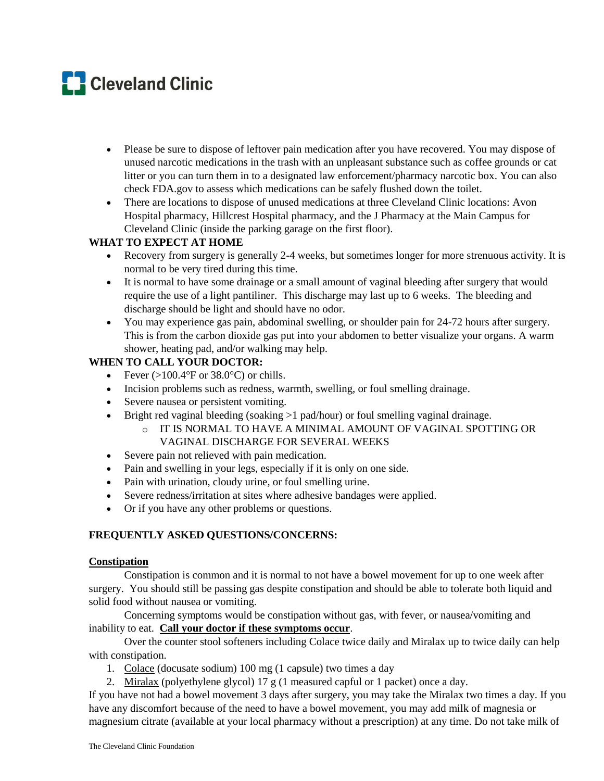# **C** Cleveland Clinic

- Please be sure to dispose of leftover pain medication after you have recovered. You may dispose of unused narcotic medications in the trash with an unpleasant substance such as coffee grounds or cat litter or you can turn them in to a designated law enforcement/pharmacy narcotic box. You can also check FDA.gov to assess which medications can be safely flushed down the toilet.
- There are locations to dispose of unused medications at three Cleveland Clinic locations: Avon Hospital pharmacy, Hillcrest Hospital pharmacy, and the J Pharmacy at the Main Campus for Cleveland Clinic (inside the parking garage on the first floor).

# **WHAT TO EXPECT AT HOME**

- Recovery from surgery is generally 2-4 weeks, but sometimes longer for more strenuous activity. It is normal to be very tired during this time.
- It is normal to have some drainage or a small amount of vaginal bleeding after surgery that would require the use of a light pantiliner. This discharge may last up to 6 weeks. The bleeding and discharge should be light and should have no odor.
- You may experience gas pain, abdominal swelling, or shoulder pain for 24-72 hours after surgery. This is from the carbon dioxide gas put into your abdomen to better visualize your organs. A warm shower, heating pad, and/or walking may help.

## **WHEN TO CALL YOUR DOCTOR:**

- Fever  $(>100.4^{\circ}$  F or 38.0°C) or chills.
- Incision problems such as redness, warmth, swelling, or foul smelling drainage.
- Severe nausea or persistent vomiting.
- Bright red vaginal bleeding (soaking >1 pad/hour) or foul smelling vaginal drainage.
	- o IT IS NORMAL TO HAVE A MINIMAL AMOUNT OF VAGINAL SPOTTING OR VAGINAL DISCHARGE FOR SEVERAL WEEKS
- Severe pain not relieved with pain medication.
- Pain and swelling in your legs, especially if it is only on one side.
- Pain with urination, cloudy urine, or foul smelling urine.
- Severe redness/irritation at sites where adhesive bandages were applied.
- Or if you have any other problems or questions.

# **FREQUENTLY ASKED QUESTIONS/CONCERNS:**

## **Constipation**

Constipation is common and it is normal to not have a bowel movement for up to one week after surgery. You should still be passing gas despite constipation and should be able to tolerate both liquid and solid food without nausea or vomiting.

Concerning symptoms would be constipation without gas, with fever, or nausea/vomiting and inability to eat. **Call your doctor if these symptoms occur**.

Over the counter stool softeners including Colace twice daily and Miralax up to twice daily can help with constipation.

- 1. Colace (docusate sodium) 100 mg (1 capsule) two times a day
- 2. Miralax (polyethylene glycol) 17 g (1 measured capful or 1 packet) once a day.

If you have not had a bowel movement 3 days after surgery, you may take the Miralax two times a day. If you have any discomfort because of the need to have a bowel movement, you may add milk of magnesia or magnesium citrate (available at your local pharmacy without a prescription) at any time. Do not take milk of